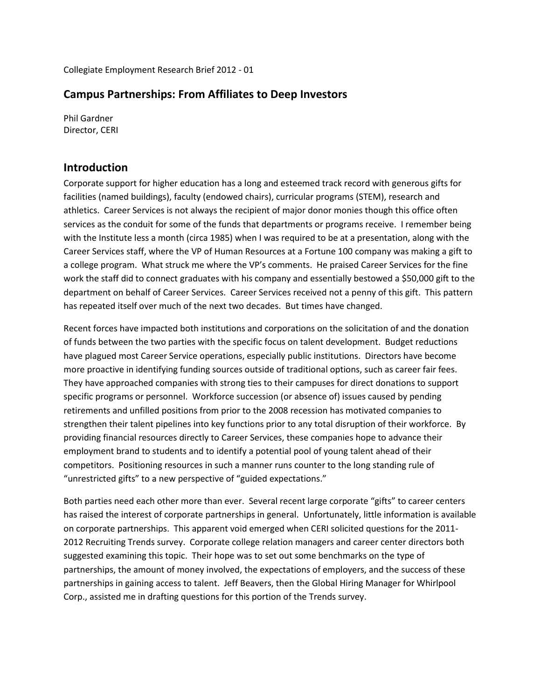Collegiate Employment Research Brief 2012 - 01

#### **Campus Partnerships: From Affiliates to Deep Investors**

Phil Gardner Director, CERI

#### **Introduction**

Corporate support for higher education has a long and esteemed track record with generous gifts for facilities (named buildings), faculty (endowed chairs), curricular programs (STEM), research and athletics. Career Services is not always the recipient of major donor monies though this office often services as the conduit for some of the funds that departments or programs receive. I remember being with the Institute less a month (circa 1985) when I was required to be at a presentation, along with the Career Services staff, where the VP of Human Resources at a Fortune 100 company was making a gift to a college program. What struck me where the VP's comments. He praised Career Services for the fine work the staff did to connect graduates with his company and essentially bestowed a \$50,000 gift to the department on behalf of Career Services. Career Services received not a penny of this gift. This pattern has repeated itself over much of the next two decades. But times have changed.

Recent forces have impacted both institutions and corporations on the solicitation of and the donation of funds between the two parties with the specific focus on talent development. Budget reductions have plagued most Career Service operations, especially public institutions. Directors have become more proactive in identifying funding sources outside of traditional options, such as career fair fees. They have approached companies with strong ties to their campuses for direct donations to support specific programs or personnel. Workforce succession (or absence of) issues caused by pending retirements and unfilled positions from prior to the 2008 recession has motivated companies to strengthen their talent pipelines into key functions prior to any total disruption of their workforce. By providing financial resources directly to Career Services, these companies hope to advance their employment brand to students and to identify a potential pool of young talent ahead of their competitors. Positioning resources in such a manner runs counter to the long standing rule of "unrestricted gifts" to a new perspective of "guided expectations."

Both parties need each other more than ever. Several recent large corporate "gifts" to career centers has raised the interest of corporate partnerships in general. Unfortunately, little information is available on corporate partnerships. This apparent void emerged when CERI solicited questions for the 2011- 2012 Recruiting Trends survey. Corporate college relation managers and career center directors both suggested examining this topic. Their hope was to set out some benchmarks on the type of partnerships, the amount of money involved, the expectations of employers, and the success of these partnerships in gaining access to talent. Jeff Beavers, then the Global Hiring Manager for Whirlpool Corp., assisted me in drafting questions for this portion of the Trends survey.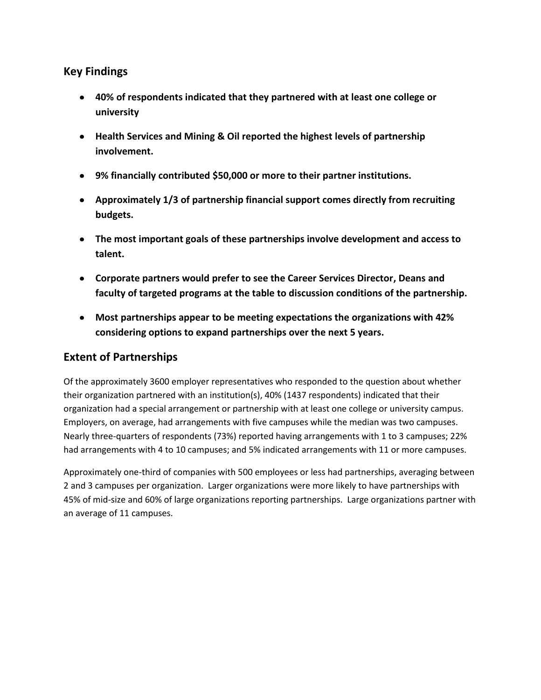### **Key Findings**

- **40% of respondents indicated that they partnered with at least one college or university**
- **Health Services and Mining & Oil reported the highest levels of partnership involvement.**
- **9% financially contributed \$50,000 or more to their partner institutions.**
- **Approximately 1/3 of partnership financial support comes directly from recruiting budgets.**
- **The most important goals of these partnerships involve development and access to talent.**
- **Corporate partners would prefer to see the Career Services Director, Deans and faculty of targeted programs at the table to discussion conditions of the partnership.**
- **Most partnerships appear to be meeting expectations the organizations with 42% considering options to expand partnerships over the next 5 years.**

# **Extent of Partnerships**

Of the approximately 3600 employer representatives who responded to the question about whether their organization partnered with an institution(s), 40% (1437 respondents) indicated that their organization had a special arrangement or partnership with at least one college or university campus. Employers, on average, had arrangements with five campuses while the median was two campuses. Nearly three-quarters of respondents (73%) reported having arrangements with 1 to 3 campuses; 22% had arrangements with 4 to 10 campuses; and 5% indicated arrangements with 11 or more campuses.

Approximately one-third of companies with 500 employees or less had partnerships, averaging between 2 and 3 campuses per organization. Larger organizations were more likely to have partnerships with 45% of mid-size and 60% of large organizations reporting partnerships. Large organizations partner with an average of 11 campuses.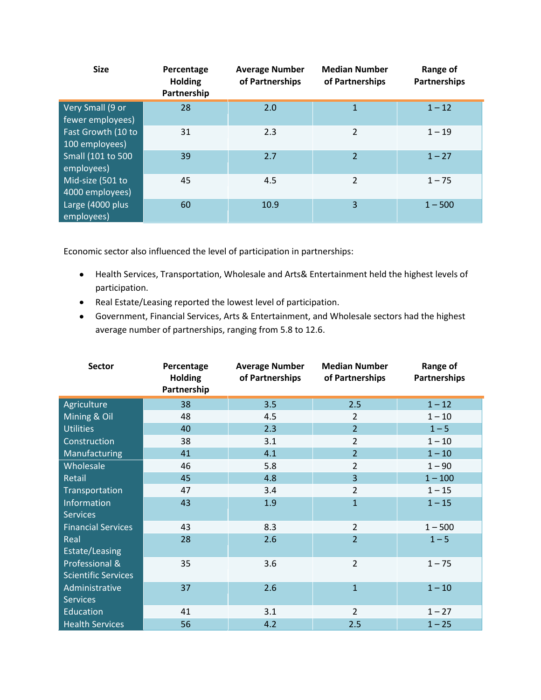| <b>Size</b>                          | Percentage<br><b>Holding</b><br>Partnership | <b>Average Number</b><br>of Partnerships | <b>Median Number</b><br>of Partnerships | Range of<br><b>Partnerships</b> |
|--------------------------------------|---------------------------------------------|------------------------------------------|-----------------------------------------|---------------------------------|
| Very Small (9 or<br>fewer employees) | 28                                          | 2.0                                      | $\mathbf{1}$                            | $1 - 12$                        |
| Fast Growth (10 to<br>100 employees) | 31                                          | 2.3                                      | 2                                       | $1 - 19$                        |
| Small (101 to 500<br>employees)      | 39                                          | 2.7                                      | $\overline{2}$                          | $1 - 27$                        |
| Mid-size (501 to<br>4000 employees)  | 45                                          | 4.5                                      | 2                                       | $1 - 75$                        |
| Large (4000 plus<br>employees)       | 60                                          | 10.9                                     | 3                                       | $1 - 500$                       |

Economic sector also influenced the level of participation in partnerships:

- Health Services, Transportation, Wholesale and Arts& Entertainment held the highest levels of participation.
- Real Estate/Leasing reported the lowest level of participation.
- Government, Financial Services, Arts & Entertainment, and Wholesale sectors had the highest average number of partnerships, ranging from 5.8 to 12.6.

| <b>Sector</b>                                | Percentage<br><b>Holding</b><br>Partnership | <b>Average Number</b><br>of Partnerships | <b>Median Number</b><br>of Partnerships | Range of<br>Partnerships |
|----------------------------------------------|---------------------------------------------|------------------------------------------|-----------------------------------------|--------------------------|
| Agriculture                                  | 38                                          | 3.5                                      | 2.5                                     | $1 - 12$                 |
| Mining & Oil                                 | 48                                          | 4.5                                      | $\overline{2}$                          | $1 - 10$                 |
| <b>Utilities</b>                             | 40                                          | 2.3                                      | $\overline{2}$                          | $1 - 5$                  |
| Construction                                 | 38                                          | 3.1                                      | $\overline{2}$                          | $1 - 10$                 |
| Manufacturing                                | 41                                          | 4.1                                      | $\overline{2}$                          | $1 - 10$                 |
| Wholesale                                    | 46                                          | 5.8                                      | $\overline{2}$                          | $1 - 90$                 |
| Retail                                       | 45                                          | 4.8                                      | 3                                       | $1 - 100$                |
| Transportation                               | 47                                          | 3.4                                      | $\overline{2}$                          | $1 - 15$                 |
| Information<br><b>Services</b>               | 43                                          | 1.9                                      | $\mathbf{1}$                            | $1 - 15$                 |
| <b>Financial Services</b>                    | 43                                          | 8.3                                      | $\overline{2}$                          | $1 - 500$                |
| Real<br>Estate/Leasing                       | 28                                          | 2.6                                      | $\overline{2}$                          | $1 - 5$                  |
| Professional &<br><b>Scientific Services</b> | 35                                          | 3.6                                      | $\overline{2}$                          | $1 - 75$                 |
| Administrative<br><b>Services</b>            | 37                                          | 2.6                                      | $\overline{1}$                          | $1 - 10$                 |
| <b>Education</b>                             | 41                                          | 3.1                                      | $\overline{2}$                          | $1 - 27$                 |
| <b>Health Services</b>                       | 56                                          | 4.2                                      | 2.5                                     | $1 - 25$                 |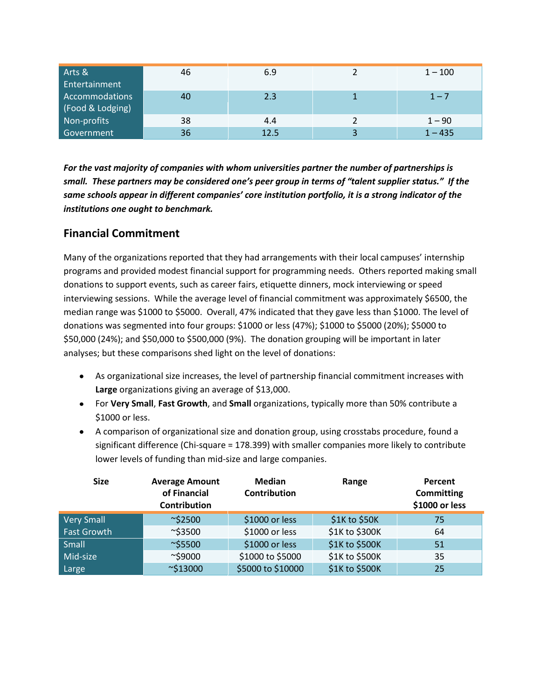| Arts &<br>Entertainment            | 46 | 6.9  | $1 - 100$ |
|------------------------------------|----|------|-----------|
| Accommodations<br>(Food & Lodging) | 40 | 2.3  | $1 - 7$   |
| Non-profits                        | 38 | 4.4  | $1 - 90$  |
| Government                         | 36 | 12.5 | $1 - 435$ |

*For the vast majority of companies with whom universities partner the number of partnerships is small. These partners may be considered one's peer group in terms of "talent supplier status." If the same schools appear in different companies' core institution portfolio, it is a strong indicator of the institutions one ought to benchmark.*

### **Financial Commitment**

Many of the organizations reported that they had arrangements with their local campuses' internship programs and provided modest financial support for programming needs. Others reported making small donations to support events, such as career fairs, etiquette dinners, mock interviewing or speed interviewing sessions. While the average level of financial commitment was approximately \$6500, the median range was \$1000 to \$5000. Overall, 47% indicated that they gave less than \$1000. The level of donations was segmented into four groups: \$1000 or less (47%); \$1000 to \$5000 (20%); \$5000 to \$50,000 (24%); and \$50,000 to \$500,000 (9%). The donation grouping will be important in later analyses; but these comparisons shed light on the level of donations:

- As organizational size increases, the level of partnership financial commitment increases with **Large** organizations giving an average of \$13,000.
- For **Very Small**, **Fast Growth**, and **Small** organizations, typically more than 50% contribute a \$1000 or less.
- A comparison of organizational size and donation group, using crosstabs procedure, found a significant difference (Chi-square = 178.399) with smaller companies more likely to contribute lower levels of funding than mid-size and large companies.

| <b>Size</b>        | <b>Average Amount</b><br>of Financial<br>Contribution | <b>Median</b><br>Range<br>Contribution |                | Percent<br><b>Committing</b><br>\$1000 or less |
|--------------------|-------------------------------------------------------|----------------------------------------|----------------|------------------------------------------------|
| <b>Very Small</b>  | $\sim$ \$2500                                         | \$1000 or less                         | \$1K to \$50K  | 75                                             |
| <b>Fast Growth</b> | $\sim$ \$3500                                         | \$1000 or less                         | \$1K to \$300K | 64                                             |
| Small              | $\sim$ \$5500                                         | \$1000 or less                         | \$1K to \$500K | 51                                             |
| Mid-size           | $~\sim$ \$9000                                        | \$1000 to \$5000                       | \$1K to \$500K | 35                                             |
| Large              | $\sim$ \$13000                                        | \$5000 to \$10000                      | \$1K to \$500K | 25                                             |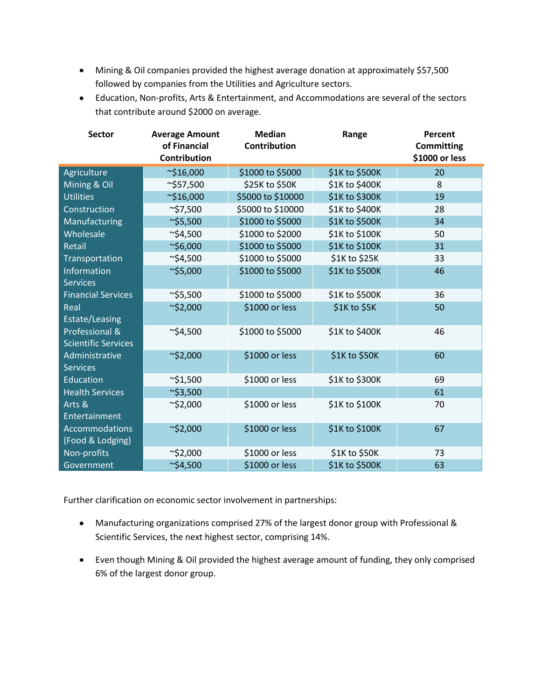- Mining & Oil companies provided the highest average donation at approximately \$57,500 followed by companies from the Utilities and Agriculture sectors.
- Education, Non-profits, Arts & Entertainment, and Accommodations are several of the sectors that contribute around \$2000 on average.

| <b>Sector</b>                                | <b>Average Amount</b><br>of Financial<br>Contribution | <b>Median</b><br><b>Contribution</b> | Range          | Percent<br><b>Committing</b><br>\$1000 or less |
|----------------------------------------------|-------------------------------------------------------|--------------------------------------|----------------|------------------------------------------------|
| Agriculture                                  | $\sim$ \$16,000                                       | \$1000 to \$5000                     | \$1K to \$500K | 20                                             |
| Mining & Oil                                 | $\sim$ \$57,500                                       | \$25K to \$50K                       | \$1K to \$400K | 8                                              |
| <b>Utilities</b>                             | $\sim$ \$16,000                                       | \$5000 to \$10000                    | \$1K to \$300K | 19                                             |
| Construction                                 | $\sim$ \$7,500                                        | \$5000 to \$10000                    | \$1K to \$400K | 28                                             |
| Manufacturing                                | $\sim$ \$5,500                                        | \$1000 to \$5000                     | \$1K to \$500K | 34                                             |
| Wholesale                                    | $\sim$ \$4,500                                        | \$1000 to \$2000                     | \$1K to \$100K | 50                                             |
| Retail                                       | $\sim$ \$6,000                                        | \$1000 to \$5000                     | \$1K to \$100K | 31                                             |
| Transportation                               | $\sim$ \$4,500                                        | \$1000 to \$5000                     | \$1K to \$25K  | 33                                             |
| Information<br><b>Services</b>               | $\sim$ \$5,000                                        | \$1000 to \$5000                     | \$1K to \$500K | 46                                             |
| <b>Financial Services</b>                    | $\sim$ \$5,500                                        | \$1000 to \$5000                     | \$1K to \$500K | 36                                             |
| Real<br>Estate/Leasing                       | $\sim$ \$2,000                                        | \$1000 or less                       | \$1K to \$5K   | 50                                             |
| Professional &<br><b>Scientific Services</b> | $\sim$ \$4,500                                        | \$1000 to \$5000                     | \$1K to \$400K | 46                                             |
| Administrative<br><b>Services</b>            | $\sim$ \$2,000                                        | \$1000 or less                       | \$1K to \$50K  | 60                                             |
| Education                                    | $\sim$ \$1,500                                        | \$1000 or less                       | \$1K to \$300K | 69                                             |
| <b>Health Services</b>                       | $\sim$ \$3,500                                        |                                      |                | 61                                             |
| Arts &<br>Entertainment                      | $\sim$ \$2,000                                        | \$1000 or less                       | \$1K to \$100K | 70                                             |
| <b>Accommodations</b><br>(Food & Lodging)    | $\sim$ \$2,000                                        | \$1000 or less                       | \$1K to \$100K | 67                                             |
| Non-profits                                  | $\sim$ \$2,000                                        | \$1000 or less                       | \$1K to \$50K  | 73                                             |
| Government                                   | $\sim$ \$4,500                                        | \$1000 or less                       | \$1K to \$500K | 63                                             |

Further clarification on economic sector involvement in partnerships:

- Manufacturing organizations comprised 27% of the largest donor group with Professional & Scientific Services, the next highest sector, comprising 14%.
- Even though Mining & Oil provided the highest average amount of funding, they only comprised 6% of the largest donor group.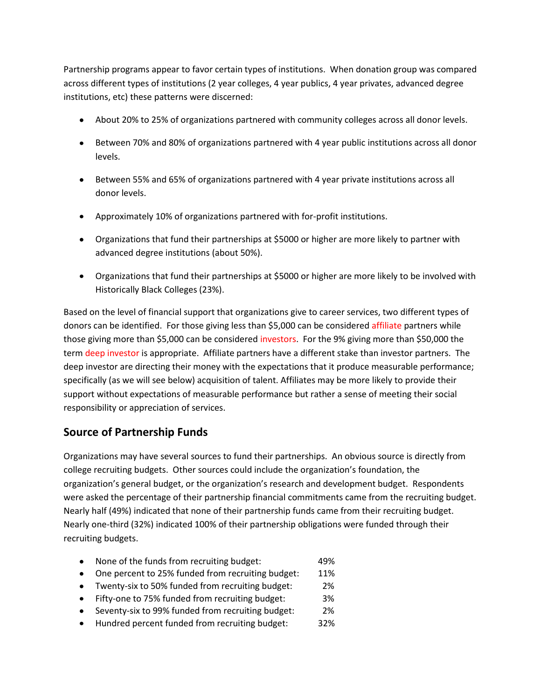Partnership programs appear to favor certain types of institutions. When donation group was compared across different types of institutions (2 year colleges, 4 year publics, 4 year privates, advanced degree institutions, etc) these patterns were discerned:

- About 20% to 25% of organizations partnered with community colleges across all donor levels.
- Between 70% and 80% of organizations partnered with 4 year public institutions across all donor levels.
- Between 55% and 65% of organizations partnered with 4 year private institutions across all donor levels.
- Approximately 10% of organizations partnered with for-profit institutions.
- Organizations that fund their partnerships at \$5000 or higher are more likely to partner with advanced degree institutions (about 50%).
- Organizations that fund their partnerships at \$5000 or higher are more likely to be involved with Historically Black Colleges (23%).

Based on the level of financial support that organizations give to career services, two different types of donors can be identified. For those giving less than \$5,000 can be considered affiliate partners while those giving more than \$5,000 can be considered investors. For the 9% giving more than \$50,000 the term deep investor is appropriate. Affiliate partners have a different stake than investor partners. The deep investor are directing their money with the expectations that it produce measurable performance; specifically (as we will see below) acquisition of talent. Affiliates may be more likely to provide their support without expectations of measurable performance but rather a sense of meeting their social responsibility or appreciation of services.

# **Source of Partnership Funds**

Organizations may have several sources to fund their partnerships. An obvious source is directly from college recruiting budgets. Other sources could include the organization's foundation, the organization's general budget, or the organization's research and development budget. Respondents were asked the percentage of their partnership financial commitments came from the recruiting budget. Nearly half (49%) indicated that none of their partnership funds came from their recruiting budget. Nearly one-third (32%) indicated 100% of their partnership obligations were funded through their recruiting budgets.

- None of the funds from recruiting budget: 49% • One percent to 25% funded from recruiting budget: 11% Twenty-six to 50% funded from recruiting budget: 2% Fifty-one to 75% funded from recruiting budget: 3%
- Seventy-six to 99% funded from recruiting budget: 2%
- Hundred percent funded from recruiting budget: 32%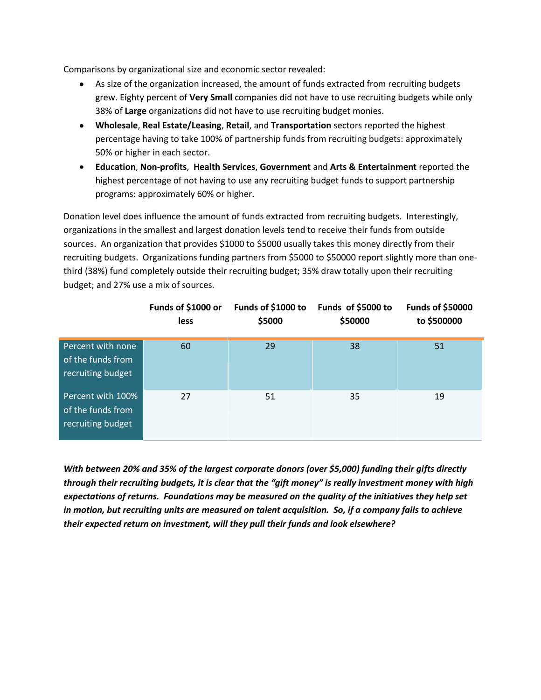Comparisons by organizational size and economic sector revealed:

- As size of the organization increased, the amount of funds extracted from recruiting budgets grew. Eighty percent of **Very Small** companies did not have to use recruiting budgets while only 38% of **Large** organizations did not have to use recruiting budget monies.
- **Wholesale**, **Real Estate/Leasing**, **Retail**, and **Transportation** sectors reported the highest percentage having to take 100% of partnership funds from recruiting budgets: approximately 50% or higher in each sector.
- **Education**, **Non-profits**, **Health Services**, **Government** and **Arts & Entertainment** reported the highest percentage of not having to use any recruiting budget funds to support partnership programs: approximately 60% or higher.

Donation level does influence the amount of funds extracted from recruiting budgets. Interestingly, organizations in the smallest and largest donation levels tend to receive their funds from outside sources. An organization that provides \$1000 to \$5000 usually takes this money directly from their recruiting budgets. Organizations funding partners from \$5000 to \$50000 report slightly more than onethird (38%) fund completely outside their recruiting budget; 35% draw totally upon their recruiting budget; and 27% use a mix of sources.

|                                                             | Funds of \$1000 or<br>less | Funds of \$1000 to<br>\$5000 | Funds of \$5000 to<br>\$50000 | <b>Funds of \$50000</b><br>to \$500000 |
|-------------------------------------------------------------|----------------------------|------------------------------|-------------------------------|----------------------------------------|
| Percent with none<br>of the funds from<br>recruiting budget | 60                         | 29                           | 38                            | 51                                     |
| Percent with 100%<br>of the funds from<br>recruiting budget | 27                         | 51                           | 35                            | 19                                     |

*With between 20% and 35% of the largest corporate donors (over \$5,000) funding their gifts directly through their recruiting budgets, it is clear that the "gift money" is really investment money with high expectations of returns. Foundations may be measured on the quality of the initiatives they help set in motion, but recruiting units are measured on talent acquisition. So, if a company fails to achieve their expected return on investment, will they pull their funds and look elsewhere?*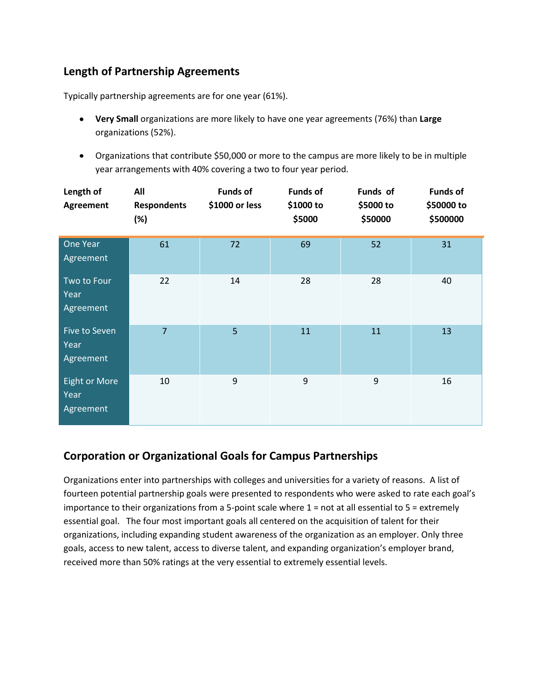# **Length of Partnership Agreements**

Typically partnership agreements are for one year (61%).

- **Very Small** organizations are more likely to have one year agreements (76%) than **Large** organizations (52%).
- Organizations that contribute \$50,000 or more to the campus are more likely to be in multiple year arrangements with 40% covering a two to four year period.

| Length of<br>Agreement                    | All<br><b>Respondents</b><br>(%) | <b>Funds of</b><br>\$1000 or less | <b>Funds of</b><br>\$1000 to<br>\$5000 | Funds of<br>\$5000 to<br>\$50000 | <b>Funds of</b><br>\$50000 to<br>\$500000 |
|-------------------------------------------|----------------------------------|-----------------------------------|----------------------------------------|----------------------------------|-------------------------------------------|
| One Year<br>Agreement                     | 61                               | 72                                | 69                                     | 52                               | 31                                        |
| Two to Four<br>Year<br>Agreement          | 22                               | 14                                | 28                                     | 28                               | 40                                        |
| Five to Seven<br>Year<br>Agreement        | $\overline{7}$                   | 5 <sup>1</sup>                    | 11                                     | 11                               | 13                                        |
| <b>Eight or More</b><br>Year<br>Agreement | 10                               | 9                                 | 9                                      | 9                                | 16                                        |

# **Corporation or Organizational Goals for Campus Partnerships**

Organizations enter into partnerships with colleges and universities for a variety of reasons. A list of fourteen potential partnership goals were presented to respondents who were asked to rate each goal's importance to their organizations from a 5-point scale where 1 = not at all essential to 5 = extremely essential goal. The four most important goals all centered on the acquisition of talent for their organizations, including expanding student awareness of the organization as an employer. Only three goals, access to new talent, access to diverse talent, and expanding organization's employer brand, received more than 50% ratings at the very essential to extremely essential levels.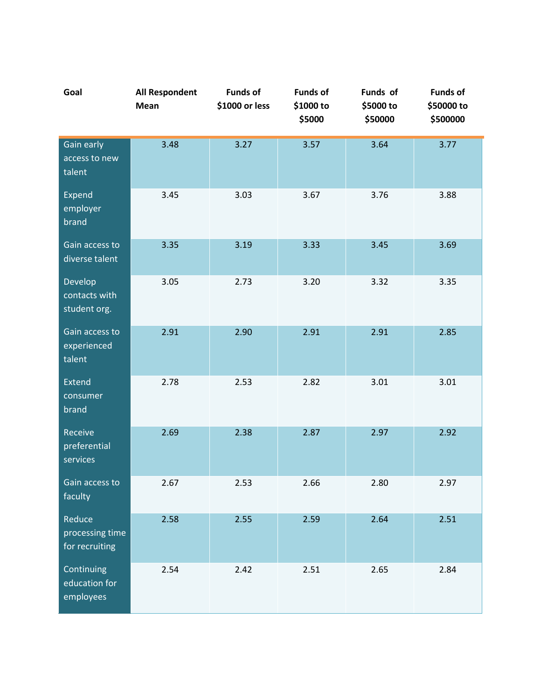| Goal                                        | <b>All Respondent</b><br>Mean | <b>Funds of</b><br>\$1000 or less | <b>Funds of</b><br>\$1000 to<br>\$5000 | Funds of<br>\$5000 to<br>\$50000 | <b>Funds of</b><br>\$50000 to<br>\$500000 |
|---------------------------------------------|-------------------------------|-----------------------------------|----------------------------------------|----------------------------------|-------------------------------------------|
| Gain early<br>access to new<br>talent       | 3.48                          | 3.27                              | 3.57                                   | 3.64                             | 3.77                                      |
| Expend<br>employer<br>brand                 | 3.45                          | 3.03                              | 3.67                                   | 3.76                             | 3.88                                      |
| Gain access to<br>diverse talent            | 3.35                          | 3.19                              | 3.33                                   | 3.45                             | 3.69                                      |
| Develop<br>contacts with<br>student org.    | 3.05                          | 2.73                              | 3.20                                   | 3.32                             | 3.35                                      |
| Gain access to<br>experienced<br>talent     | 2.91                          | 2.90                              | 2.91                                   | 2.91                             | 2.85                                      |
| Extend<br>consumer<br>brand                 | 2.78                          | 2.53                              | 2.82                                   | 3.01                             | 3.01                                      |
| Receive<br>preferential<br>services         | 2.69                          | 2.38                              | 2.87                                   | 2.97                             | 2.92                                      |
| Gain access to<br>faculty                   | 2.67                          | 2.53                              | 2.66                                   | 2.80                             | 2.97                                      |
| Reduce<br>processing time<br>for recruiting | 2.58                          | 2.55                              | 2.59                                   | 2.64                             | 2.51                                      |
| Continuing<br>education for<br>employees    | 2.54                          | 2.42                              | 2.51                                   | 2.65                             | 2.84                                      |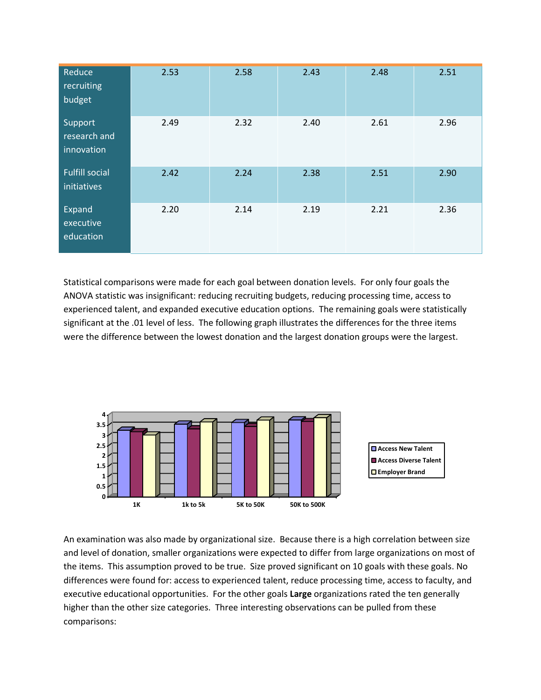| Reduce<br>recruiting<br>budget        | 2.53 | 2.58 | 2.43 | 2.48 | 2.51 |
|---------------------------------------|------|------|------|------|------|
| Support<br>research and<br>innovation | 2.49 | 2.32 | 2.40 | 2.61 | 2.96 |
| <b>Fulfill social</b><br>initiatives  | 2.42 | 2.24 | 2.38 | 2.51 | 2.90 |
| Expand<br>executive<br>education      | 2.20 | 2.14 | 2.19 | 2.21 | 2.36 |

Statistical comparisons were made for each goal between donation levels. For only four goals the ANOVA statistic was insignificant: reducing recruiting budgets, reducing processing time, access to experienced talent, and expanded executive education options. The remaining goals were statistically significant at the .01 level of less. The following graph illustrates the differences for the three items were the difference between the lowest donation and the largest donation groups were the largest.



An examination was also made by organizational size. Because there is a high correlation between size and level of donation, smaller organizations were expected to differ from large organizations on most of the items. This assumption proved to be true. Size proved significant on 10 goals with these goals. No differences were found for: access to experienced talent, reduce processing time, access to faculty, and executive educational opportunities. For the other goals **Large** organizations rated the ten generally higher than the other size categories. Three interesting observations can be pulled from these comparisons: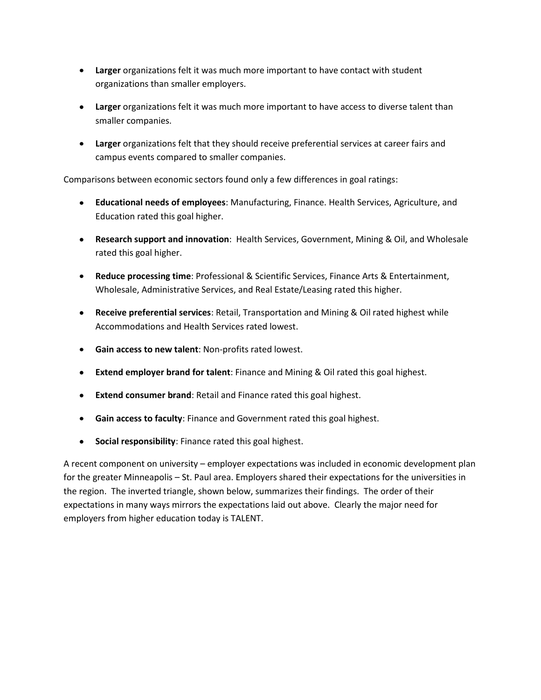- **Larger** organizations felt it was much more important to have contact with student organizations than smaller employers.
- **Larger** organizations felt it was much more important to have access to diverse talent than smaller companies.
- **Larger** organizations felt that they should receive preferential services at career fairs and campus events compared to smaller companies.

Comparisons between economic sectors found only a few differences in goal ratings:

- **Educational needs of employees**: Manufacturing, Finance. Health Services, Agriculture, and Education rated this goal higher.
- **Research support and innovation**: Health Services, Government, Mining & Oil, and Wholesale rated this goal higher.
- **Reduce processing time**: Professional & Scientific Services, Finance Arts & Entertainment, Wholesale, Administrative Services, and Real Estate/Leasing rated this higher.
- **Receive preferential services**: Retail, Transportation and Mining & Oil rated highest while Accommodations and Health Services rated lowest.
- **Gain access to new talent**: Non-profits rated lowest.
- **Extend employer brand for talent**: Finance and Mining & Oil rated this goal highest.
- **Extend consumer brand**: Retail and Finance rated this goal highest.
- **Gain access to faculty**: Finance and Government rated this goal highest.
- **Social responsibility**: Finance rated this goal highest.

A recent component on university – employer expectations was included in economic development plan for the greater Minneapolis – St. Paul area. Employers shared their expectations for the universities in the region. The inverted triangle, shown below, summarizes their findings. The order of their expectations in many ways mirrors the expectations laid out above. Clearly the major need for employers from higher education today is TALENT.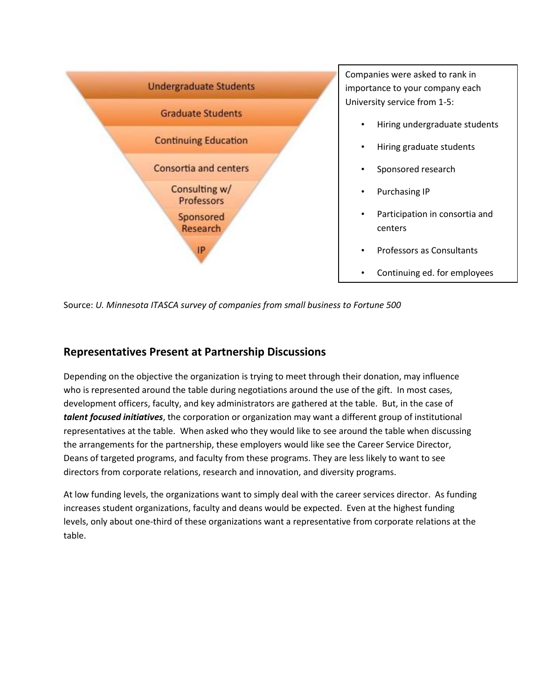

Source: *U. Minnesota ITASCA survey of companies from small business to Fortune 500*

#### **Representatives Present at Partnership Discussions**

Depending on the objective the organization is trying to meet through their donation, may influence who is represented around the table during negotiations around the use of the gift. In most cases, development officers, faculty, and key administrators are gathered at the table. But, in the case of *talent focused initiatives*, the corporation or organization may want a different group of institutional representatives at the table. When asked who they would like to see around the table when discussing the arrangements for the partnership, these employers would like see the Career Service Director, Deans of targeted programs, and faculty from these programs. They are less likely to want to see directors from corporate relations, research and innovation, and diversity programs.

At low funding levels, the organizations want to simply deal with the career services director. As funding increases student organizations, faculty and deans would be expected. Even at the highest funding levels, only about one-third of these organizations want a representative from corporate relations at the table.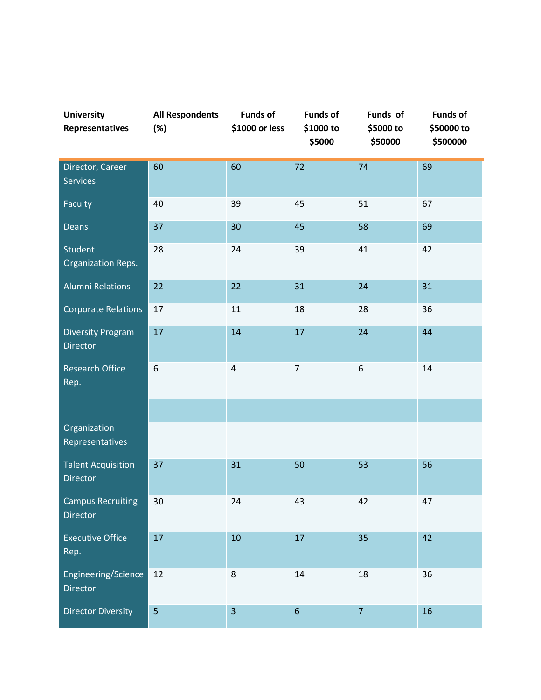| <b>University</b><br>Representatives         | <b>All Respondents</b><br>(%) | <b>Funds of</b><br>\$1000 or less | <b>Funds of</b><br>\$1000 to<br>\$5000 | Funds of<br>\$5000 to<br>\$50000 | <b>Funds of</b><br>\$50000 to<br>\$500000 |
|----------------------------------------------|-------------------------------|-----------------------------------|----------------------------------------|----------------------------------|-------------------------------------------|
| Director, Career<br><b>Services</b>          | 60                            | 60                                | 72                                     | 74                               | 69                                        |
| Faculty                                      | 40                            | 39                                | 45                                     | 51                               | 67                                        |
| Deans                                        | 37                            | 30                                | 45                                     | 58                               | 69                                        |
| <b>Student</b><br><b>Organization Reps.</b>  | 28                            | 24                                | 39                                     | 41                               | 42                                        |
| <b>Alumni Relations</b>                      | 22                            | 22                                | 31                                     | 24                               | 31                                        |
| <b>Corporate Relations</b>                   | 17                            | 11                                | 18                                     | 28                               | 36                                        |
| <b>Diversity Program</b><br><b>Director</b>  | 17                            | 14                                | 17                                     | 24                               | 44                                        |
| <b>Research Office</b><br>Rep.               | 6                             | $\overline{4}$                    | $\overline{7}$                         | 6                                | 14                                        |
|                                              |                               |                                   |                                        |                                  |                                           |
| Organization<br>Representatives              |                               |                                   |                                        |                                  |                                           |
| <b>Talent Acquisition</b><br><b>Director</b> | 37                            | 31                                | 50                                     | 53                               | 56                                        |
| <b>Campus Recruiting</b><br>Director         | 30                            | 24                                | 43                                     | 42                               | 47                                        |
| <b>Executive Office</b><br>Rep.              | 17                            | 10                                | 17                                     | 35                               | 42                                        |
| Engineering/Science<br>Director              | 12                            | $\,8$                             | $14\,$                                 | 18                               | 36                                        |
| <b>Director Diversity</b>                    | 5                             | $\overline{3}$                    | $\boldsymbol{6}$                       | $\overline{7}$                   | 16                                        |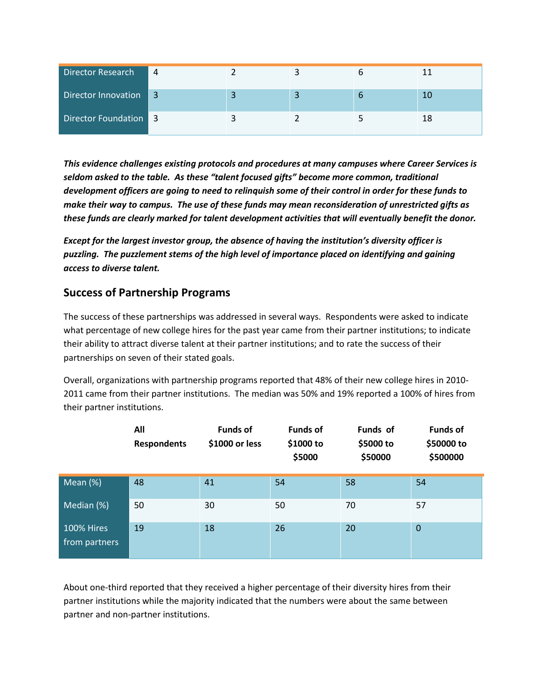| Director Research     | $\overline{4}$ |                          |   |    |
|-----------------------|----------------|--------------------------|---|----|
| Director Innovation 3 |                | $\overline{\phantom{a}}$ | b | 10 |
| Director Foundation 3 |                |                          |   |    |

*This evidence challenges existing protocols and procedures at many campuses where Career Services is seldom asked to the table. As these "talent focused gifts" become more common, traditional development officers are going to need to relinquish some of their control in order for these funds to make their way to campus. The use of these funds may mean reconsideration of unrestricted gifts as these funds are clearly marked for talent development activities that will eventually benefit the donor.*

*Except for the largest investor group, the absence of having the institution's diversity officer is puzzling. The puzzlement stems of the high level of importance placed on identifying and gaining access to diverse talent.*

#### **Success of Partnership Programs**

The success of these partnerships was addressed in several ways. Respondents were asked to indicate what percentage of new college hires for the past year came from their partner institutions; to indicate their ability to attract diverse talent at their partner institutions; and to rate the success of their partnerships on seven of their stated goals.

Overall, organizations with partnership programs reported that 48% of their new college hires in 2010- 2011 came from their partner institutions. The median was 50% and 19% reported a 100% of hires from their partner institutions.

|                                    | All<br><b>Respondents</b> | <b>Funds of</b><br>\$1000 or less | <b>Funds of</b><br>\$1000 to<br>\$5000 | Funds of<br>\$5000 to<br>\$50000 | <b>Funds of</b><br>\$50000 to<br>\$500000 |
|------------------------------------|---------------------------|-----------------------------------|----------------------------------------|----------------------------------|-------------------------------------------|
| Mean $(%)$                         | 48                        | 41                                | 54                                     | 58                               | 54                                        |
| Median (%)                         | 50                        | 30                                | 50                                     | 70                               | 57                                        |
| <b>100% Hires</b><br>from partners | 19                        | 18                                | 26                                     | 20                               | $\mathbf{0}$                              |

About one-third reported that they received a higher percentage of their diversity hires from their partner institutions while the majority indicated that the numbers were about the same between partner and non-partner institutions.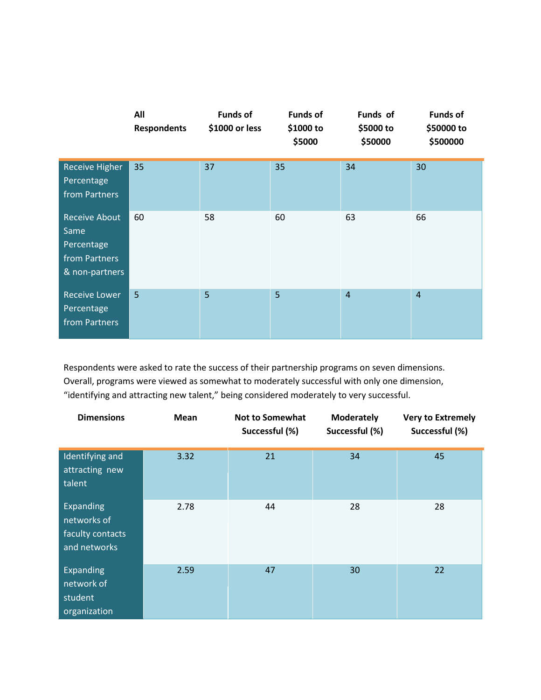|                                                                               | All<br><b>Respondents</b> | <b>Funds of</b><br>\$1000 or less | <b>Funds of</b><br>\$1000 to<br>\$5000 | Funds of<br>\$5000 to<br>\$50000 | <b>Funds of</b><br>\$50000 to<br>\$500000 |
|-------------------------------------------------------------------------------|---------------------------|-----------------------------------|----------------------------------------|----------------------------------|-------------------------------------------|
| <b>Receive Higher</b><br>Percentage<br>from Partners                          | 35                        | 37                                | 35                                     | 34                               | 30                                        |
| <b>Receive About</b><br>Same<br>Percentage<br>from Partners<br>& non-partners | 60                        | 58                                | 60                                     | 63                               | 66                                        |
| <b>Receive Lower</b><br>Percentage<br>from Partners                           | 5                         | 5                                 | 5                                      | $\overline{4}$                   | $\overline{4}$                            |

Respondents were asked to rate the success of their partnership programs on seven dimensions. Overall, programs were viewed as somewhat to moderately successful with only one dimension, "identifying and attracting new talent," being considered moderately to very successful.

| <b>Dimensions</b>                                            | Mean | <b>Not to Somewhat</b><br>Successful (%) | <b>Moderately</b><br>Successful (%) | <b>Very to Extremely</b><br>Successful (%) |
|--------------------------------------------------------------|------|------------------------------------------|-------------------------------------|--------------------------------------------|
| Identifying and<br>attracting new<br>talent                  | 3.32 | 21                                       | 34                                  | 45                                         |
| Expanding<br>networks of<br>faculty contacts<br>and networks | 2.78 | 44                                       | 28                                  | 28                                         |
| Expanding<br>network of<br>student<br>organization           | 2.59 | 47                                       | 30                                  | 22                                         |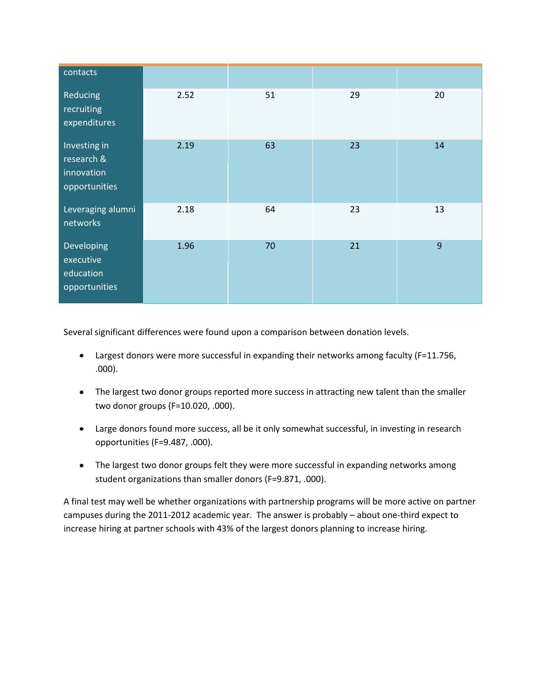| contacts                                                  |      |    |    |    |
|-----------------------------------------------------------|------|----|----|----|
| Reducing<br>recruiting<br>expenditures                    | 2.52 | 51 | 29 | 20 |
| Investing in<br>research &<br>innovation<br>opportunities | 2.19 | 63 | 23 | 14 |
| Leveraging alumni<br>networks                             | 2.18 | 64 | 23 | 13 |
| Developing<br>executive<br>education<br>opportunities     | 1.96 | 70 | 21 | 9  |

Several significant differences were found upon a comparison between donation levels.

- Largest donors were more successful in expanding their networks among faculty (F=11.756, .000).
- The largest two donor groups reported more success in attracting new talent than the smaller two donor groups (F=10.020, .000).
- Large donors found more success, all be it only somewhat successful, in investing in research opportunities (F=9.487, .000).
- The largest two donor groups felt they were more successful in expanding networks among student organizations than smaller donors (F=9.871, .000).

A final test may well be whether organizations with partnership programs will be more active on partner campuses during the 2011-2012 academic year. The answer is probably – about one-third expect to increase hiring at partner schools with 43% of the largest donors planning to increase hiring.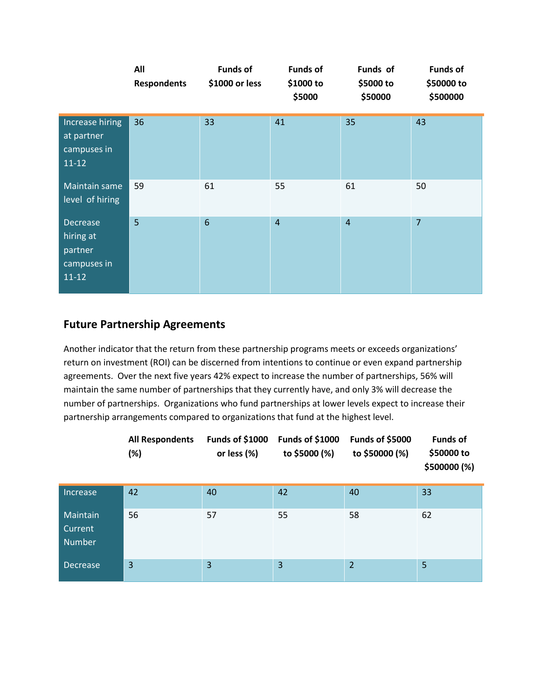|                                                                     | All<br><b>Respondents</b> | <b>Funds of</b><br>\$1000 or less | <b>Funds of</b><br>\$1000 to<br>\$5000 | Funds of<br>\$5000 to<br>\$50000 | <b>Funds of</b><br>\$50000 to<br>\$500000 |
|---------------------------------------------------------------------|---------------------------|-----------------------------------|----------------------------------------|----------------------------------|-------------------------------------------|
| Increase hiring<br>at partner<br>campuses in<br>$11 - 12$           | 36                        | 33                                | 41                                     | 35                               | 43                                        |
| Maintain same<br>level of hiring                                    | 59                        | 61                                | 55                                     | 61                               | 50                                        |
| <b>Decrease</b><br>hiring at<br>partner<br>campuses in<br>$11 - 12$ | 5                         | $6\phantom{1}6$                   | $\overline{4}$                         | $\overline{4}$                   | $\overline{7}$                            |

### **Future Partnership Agreements**

Another indicator that the return from these partnership programs meets or exceeds organizations' return on investment (ROI) can be discerned from intentions to continue or even expand partnership agreements. Over the next five years 42% expect to increase the number of partnerships, 56% will maintain the same number of partnerships that they currently have, and only 3% will decrease the number of partnerships. Organizations who fund partnerships at lower levels expect to increase their partnership arrangements compared to organizations that fund at the highest level.

|                                      | <b>All Respondents</b><br>(%) | Funds of \$1000<br>or less (%) | Funds of \$1000<br>to \$5000 (%) | Funds of \$5000<br>to \$50000 (%) | <b>Funds of</b><br>\$50000 to<br>\$500000 (%) |
|--------------------------------------|-------------------------------|--------------------------------|----------------------------------|-----------------------------------|-----------------------------------------------|
| Increase                             | 42                            | 40                             | 42                               | 40                                | 33                                            |
| Maintain<br>Current<br><b>Number</b> | 56                            | 57                             | 55                               | 58                                | 62                                            |
| <b>Decrease</b>                      | $\overline{3}$                | 3                              | 3                                | $\overline{2}$                    | 5                                             |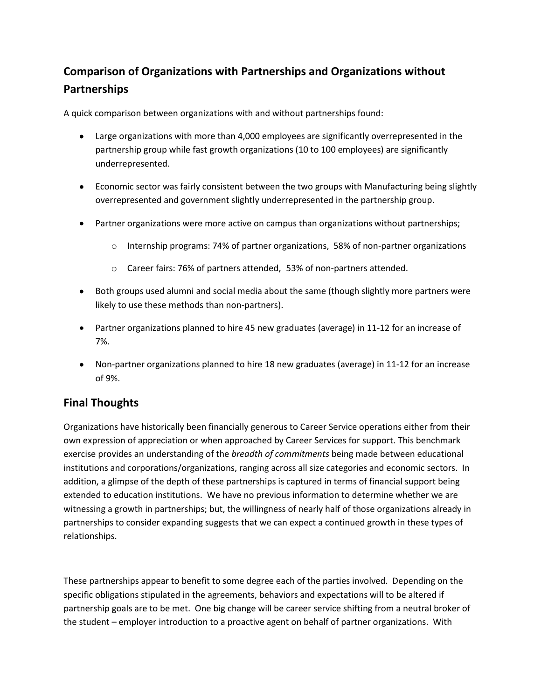# **Comparison of Organizations with Partnerships and Organizations without Partnerships**

A quick comparison between organizations with and without partnerships found:

- Large organizations with more than 4,000 employees are significantly overrepresented in the partnership group while fast growth organizations (10 to 100 employees) are significantly underrepresented.
- Economic sector was fairly consistent between the two groups with Manufacturing being slightly overrepresented and government slightly underrepresented in the partnership group.
- Partner organizations were more active on campus than organizations without partnerships;
	- o Internship programs: 74% of partner organizations, 58% of non-partner organizations
	- o Career fairs: 76% of partners attended, 53% of non-partners attended.
- Both groups used alumni and social media about the same (though slightly more partners were likely to use these methods than non-partners).
- Partner organizations planned to hire 45 new graduates (average) in 11-12 for an increase of 7%.
- Non-partner organizations planned to hire 18 new graduates (average) in 11-12 for an increase of 9%.

# **Final Thoughts**

Organizations have historically been financially generous to Career Service operations either from their own expression of appreciation or when approached by Career Services for support. This benchmark exercise provides an understanding of the *breadth of commitments* being made between educational institutions and corporations/organizations, ranging across all size categories and economic sectors. In addition, a glimpse of the depth of these partnerships is captured in terms of financial support being extended to education institutions. We have no previous information to determine whether we are witnessing a growth in partnerships; but, the willingness of nearly half of those organizations already in partnerships to consider expanding suggests that we can expect a continued growth in these types of relationships.

These partnerships appear to benefit to some degree each of the parties involved. Depending on the specific obligations stipulated in the agreements, behaviors and expectations will to be altered if partnership goals are to be met. One big change will be career service shifting from a neutral broker of the student – employer introduction to a proactive agent on behalf of partner organizations. With